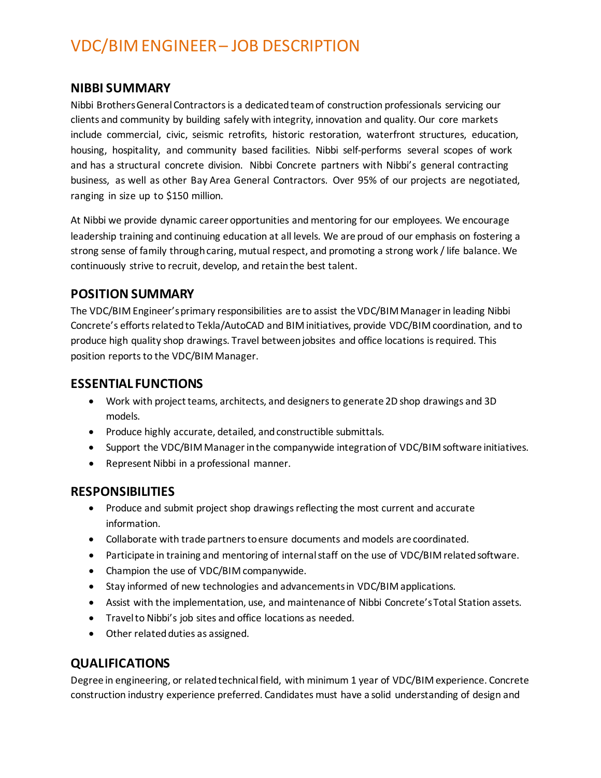# VDC/BIM ENGINEER – JOB DESCRIPTION

#### **NIBBI SUMMARY**

Nibbi Brothers General Contractors is a dedicated team of construction professionals servicing our clients and community by building safely with integrity, innovation and quality. Our core markets include commercial, civic, seismic retrofits, historic restoration, waterfront structures, education, housing, hospitality, and community based facilities. Nibbi self-performs several scopes of work and has a structural concrete division. Nibbi Concrete partners with Nibbi's general contracting business, as well as other Bay Area General Contractors. Over 95% of our projects are negotiated, ranging in size up to \$150 million.

At Nibbi we provide dynamic career opportunities and mentoring for our employees. We encourage leadership training and continuing education at all levels. We are proud of our emphasis on fostering a strong sense of family through caring, mutual respect, and promoting a strong work / life balance. We continuously strive to recruit, develop, and retain the best talent.

# **POSITION SUMMARY**

The VDC/BIM Engineer's primary responsibilities are to assist the VDC/BIM Manager in leading Nibbi Concrete's efforts related to Tekla/AutoCAD and BIM initiatives, provide VDC/BIM coordination, and to produce high quality shop drawings. Travel between jobsites and office locations is required. This position reports to the VDC/BIM Manager.

# **ESSENTIAL FUNCTIONS**

- Work with project teams, architects, and designers to generate 2D shop drawings and 3D models.
- Produce highly accurate, detailed, and constructible submittals.
- Support the VDC/BIM Managerin the companywide integration of VDC/BIM software initiatives.
- Represent Nibbi in a professional manner.

## **RESPONSIBILITIES**

- Produce and submit project shop drawings reflecting the most current and accurate information.
- Collaborate with trade partners to ensure documents and models are coordinated.
- Participate in training and mentoring of internal staff on the use of VDC/BIM related software.
- Champion the use of VDC/BIM companywide.
- Stay informed of new technologies and advancements in VDC/BIM applications.
- Assist with the implementation, use, and maintenance of Nibbi Concrete's Total Station assets.
- Travel to Nibbi's job sites and office locations as needed.
- Other related duties as assigned.

## **QUALIFICATIONS**

Degree in engineering, or related technical field, with minimum 1 year of VDC/BIM experience. Concrete construction industry experience preferred. Candidates must have a solid understanding of design and